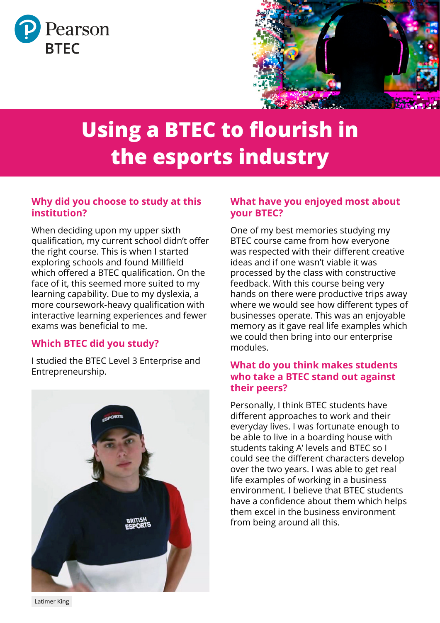



# **Using a BTEC to flourish in the esports industry**

# **Why did you choose to study at this institution?**

When deciding upon my upper sixth qualification, my current school didn't offer the right course. This is when I started exploring schools and found Millfield which offered a BTEC qualification. On the face of it, this seemed more suited to my learning capability. Due to my dyslexia, a more coursework-heavy qualification with interactive learning experiences and fewer exams was beneficial to me.

# **Which BTEC did you study?**

I studied the BTEC Level 3 Enterprise and Entrepreneurship.



# **What have you enjoyed most about your BTEC?**

One of my best memories studying my BTEC course came from how everyone was respected with their different creative ideas and if one wasn't viable it was processed by the class with constructive feedback. With this course being very hands on there were productive trips away where we would see how different types of businesses operate. This was an enjoyable memory as it gave real life examples which we could then bring into our enterprise modules.

## **What do you think makes students who take a BTEC stand out against their peers?**

Personally, I think BTEC students have different approaches to work and their everyday lives. I was fortunate enough to be able to live in a boarding house with students taking A' levels and BTEC so I could see the different characters develop over the two years. I was able to get real life examples of working in a business environment. I believe that BTEC students have a confidence about them which helps them excel in the business environment from being around all this.

Latimer King